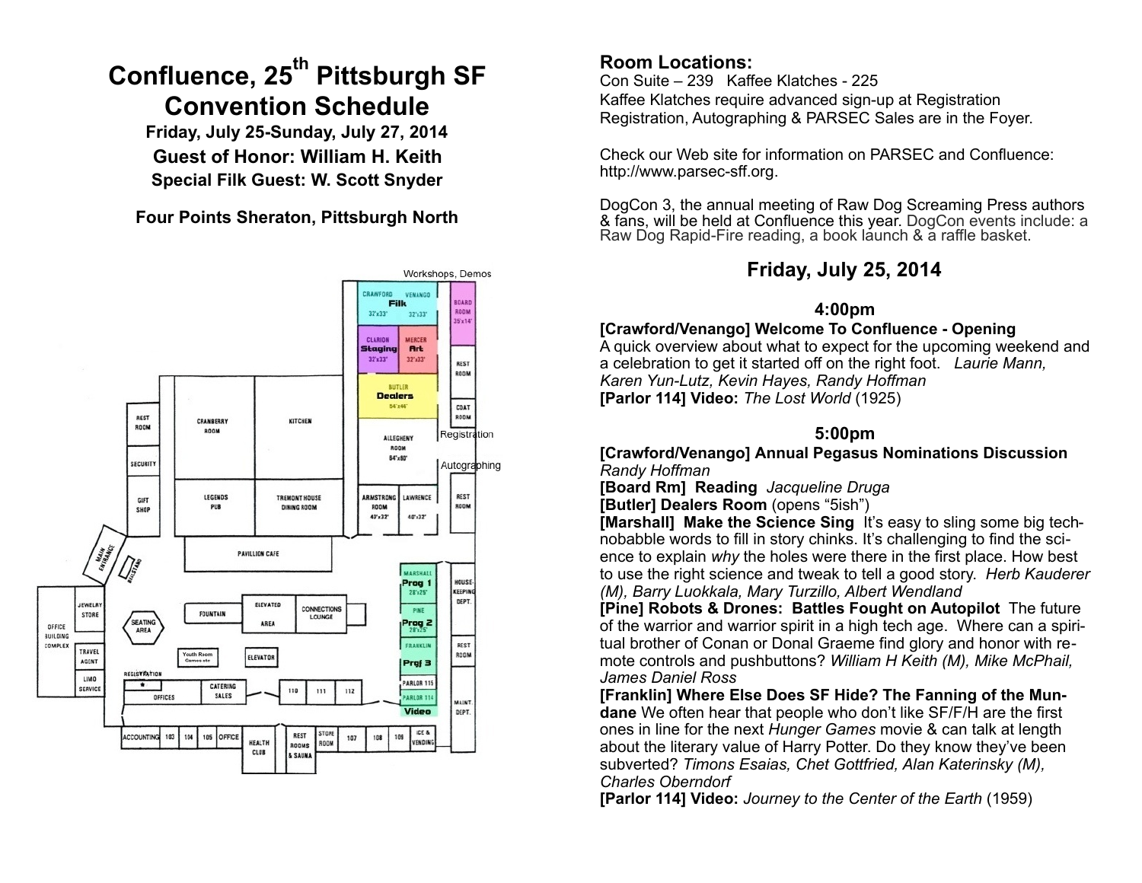# **Confluence, 25th Pittsburgh SF Convention Schedule**

**Friday, July 25-Sunday, July 27, 2014 Guest of Honor: William H. Keith Special Filk Guest: W. Scott Snyder**

**Four Points Sheraton, Pittsburgh North** 



# **Room Locations:**

Con Suite – 239 Kaffee Klatches - 225 Kaffee Klatches require advanced sign-up at Registration Registration, Autographing & PARSEC Sales are in the Foyer.

Check our Web site for information on PARSEC and Confluence: [http://www.parsec-sff.org.](http://www.parsec-sff.org)

DogCon 3, the annual meeting of Raw Dog Screaming Press authors & fans, will be held at Confluence this year. DogCon events include: a Raw Dog Rapid-Fire reading, a book launch & a raffle basket.

# **Friday, July 25, 2014**

# **4:00pm**

**[Crawford/Venango] Welcome To Confluence - Opening**  A quick overview about what to expect for the upcoming weekend and a celebration to get it started off on the right foot. *Laurie Mann, Karen Yun-Lutz, Kevin Hayes, Randy Hoffman*  **[Parlor 114] Video:** *The Lost World* (1925)

# **5:00pm**

**[Crawford/Venango] Annual Pegasus Nominations Discussion** *Randy Hoffman* 

**[Board Rm] Reading** *Jacqueline Druga* 

**[Butler] Dealers Room** (opens "5ish")

**[Marshall]** Make the Science Sing It's easy to sling some big technobabble words to fill in story chinks. It's challenging to find the science to explain *why* the holes were there in the first place. How best to use the right science and tweak to tell a good story. *Herb Kauderer (M), Barry Luokkala, Mary Turzillo, Albert Wendland* 

**[Pine] Robots & Drones: Battles Fought on Autopilot** The future of the warrior and warrior spirit in a high tech age. Where can a spiritual brother of Conan or Donal Graeme find glory and honor with remote controls and pushbuttons? *William H Keith (M), Mike McPhail, James Daniel Ross* 

**[Franklin] Where Else Does SF Hide? The Fanning of the Mundane** We often hear that people who don't like SF/F/H are the first ones in line for the next *Hunger Games* movie & can talk at length about the literary value of Harry Potter. Do they know they've been subverted? *Timons Esaias, Chet Gottfried, Alan Katerinsky (M), Charles Oberndorf* 

**[Parlor 114] Video:** *Journey to the Center of the Earth* (1959)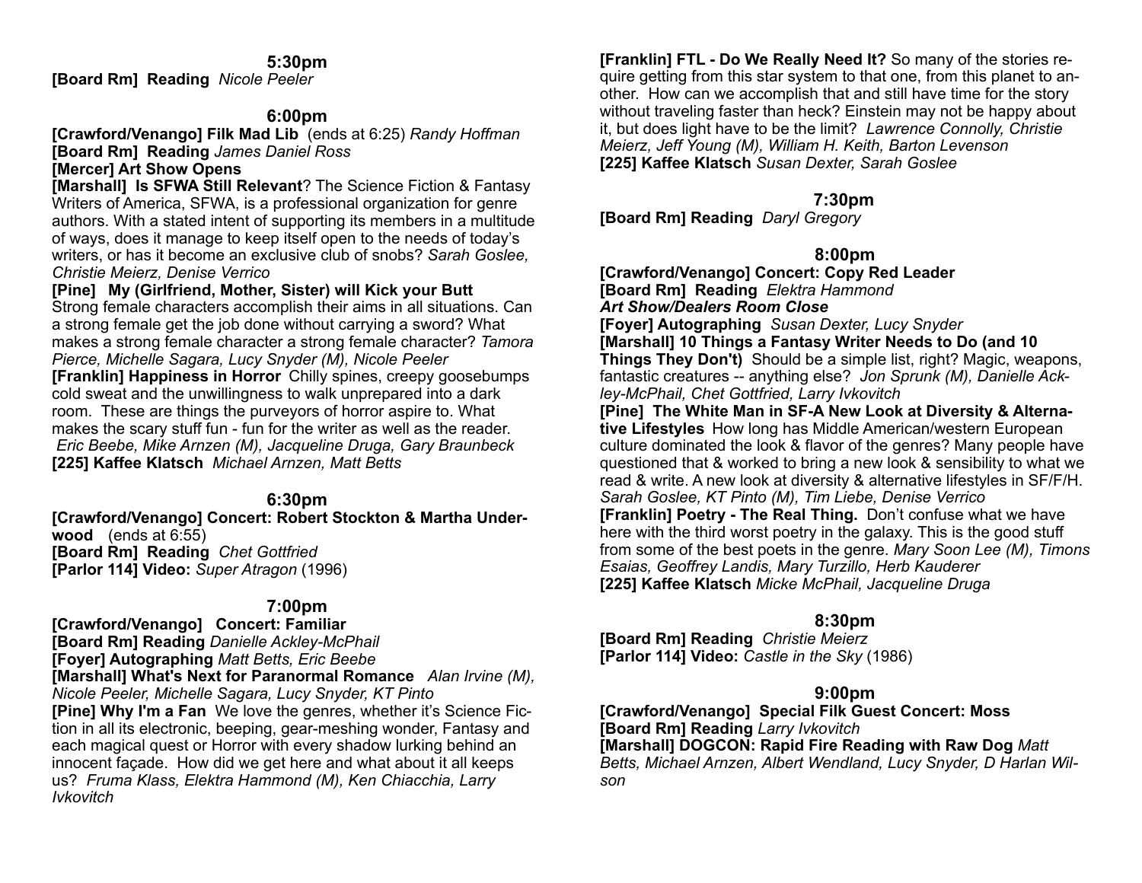#### **5:30pm**

**[Board Rm] Reading** *Nicole Peeler* 

### **6:00pm**

**[Crawford/Venango] Filk Mad Lib** (ends at 6:25) *Randy Hoffman*  **[Board Rm] Reading** *James Daniel Ross* 

### **[Mercer] Art Show Opens**

**[Marshall] Is SFWA Still Relevant**? The Science Fiction & Fantasy Writers of America, SFWA, is a professional organization for genre authors. With a stated intent of supporting its members in a multitude of ways, does it manage to keep itself open to the needs of today's writers, or has it become an exclusive club of snobs? *Sarah Goslee, Christie Meierz, Denise Verrico* 

#### **[Pine] My (Girlfriend, Mother, Sister) will Kick your Butt**

Strong female characters accomplish their aims in all situations. Can a strong female get the job done without carrying a sword? What makes a strong female character a strong female character? *Tamora Pierce, Michelle Sagara, Lucy Snyder (M), Nicole Peeler*  **[Franklin] Happiness in Horror** Chilly spines, creepy goosebumps cold sweat and the unwillingness to walk unprepared into a dark room. These are things the purveyors of horror aspire to. What makes the scary stuff fun - fun for the writer as well as the reader.  *Eric Beebe, Mike Arnzen (M), Jacqueline Druga, Gary Braunbeck*  **[225] Kaffee Klatsch** *Michael Arnzen, Matt Betts*

### **6:30pm**

**[Crawford/Venango] Concert: Robert Stockton & Martha Underwood** (ends at 6:55) **[Board Rm] Reading** *Chet Gottfried*  **[Parlor 114] Video:** *Super Atragon* (1996)

# **7:00pm**

**[Crawford/Venango] Concert: Familiar [Board Rm] Reading** *Danielle Ackley-McPhail*  **[Foyer] Autographing** *Matt Betts, Eric Beebe*

**[Marshall] What's Next for Paranormal Romance** *Alan Irvine (M), Nicole Peeler, Michelle Sagara, Lucy Snyder, KT Pinto* **[Pine] Why I'm a Fan** We love the genres, whether it's Science Fiction in all its electronic, beeping, gear-meshing wonder, Fantasy and each magical quest or Horror with every shadow lurking behind an

innocent façade. How did we get here and what about it all keeps us? *Fruma Klass, Elektra Hammond (M), Ken Chiacchia, Larry Ivkovitch* 

**[Franklin] FTL - Do We Really Need It?** So many of the stories require getting from this star system to that one, from this planet to another. How can we accomplish that and still have time for the story without traveling faster than heck? Einstein may not be happy about it, but does light have to be the limit? *Lawrence Connolly, Christie Meierz, Jeff Young (M), William H. Keith, Barton Levenson* **[225] Kaffee Klatsch** *Susan Dexter, Sarah Goslee* 

## **7:30pm**

**[Board Rm] Reading** *Daryl Gregory* 

### **8:00pm**

**[Crawford/Venango] Concert: Copy Red Leader [Board Rm] Reading** *Elektra Hammond Art Show/Dealers Room Close* 

**[Foyer] Autographing** *Susan Dexter, Lucy Snyder*

**[Marshall] 10 Things a Fantasy Writer Needs to Do (and 10 Things They Don't)** Should be a simple list, right? Magic, weapons, fantastic creatures -- anything else? *Jon Sprunk (M), Danielle Ackley-McPhail, Chet Gottfried, Larry Ivkovitch* 

**[Pine] The White Man in SF-A New Look at Diversity & Alternative Lifestyles** How long has Middle American/western European culture dominated the look & flavor of the genres? Many people have questioned that & worked to bring a new look & sensibility to what we read & write. A new look at diversity & alternative lifestyles in SF/F/H. *Sarah Goslee, KT Pinto (M), Tim Liebe, Denise Verrico* **[Franklin] Poetry - The Real Thing.** Don't confuse what we have here with the third worst poetry in the galaxy. This is the good stuff from some of the best poets in the genre. *Mary Soon Lee (M), Timons Esaias, Geoffrey Landis, Mary Turzillo, Herb Kauderer*  **[225] Kaffee Klatsch** *Micke McPhail, Jacqueline Druga* 

### **8:30pm**

**[Board Rm] Reading** *Christie Meierz*  **[Parlor 114] Video:** *Castle in the Sky* (1986)

### **9:00pm**

**[Crawford/Venango] Special Filk Guest Concert: Moss [Board Rm] Reading** *Larry Ivkovitch* **[Marshall] DOGCON: Rapid Fire Reading with Raw Dog** *Matt Betts, Michael Arnzen, Albert Wendland, Lucy Snyder, D Harlan Wilson*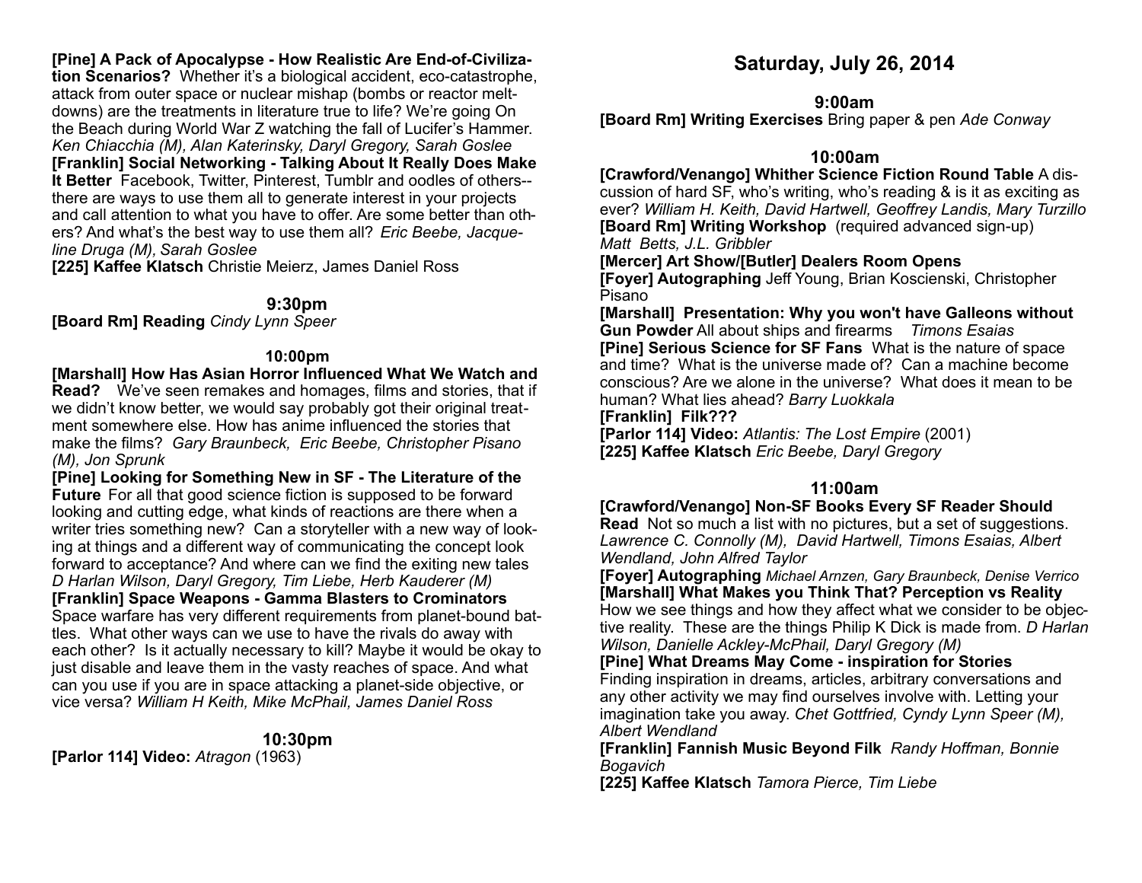# **[Pine] A Pack of Apocalypse - How Realistic Are End-of-Civiliza-**

**tion Scenarios?** Whether it's a biological accident, eco-catastrophe, attack from outer space or nuclear mishap (bombs or reactor meltdowns) are the treatments in literature true to life? We're going On the Beach during World War Z watching the fall of Lucifer's Hammer. *Ken Chiacchia (M), Alan Katerinsky, Daryl Gregory, Sarah Goslee*  **[Franklin] Social Networking - Talking About It Really Does Make It Better** Facebook, Twitter, Pinterest, Tumblr and oodles of others- there are ways to use them all to generate interest in your projects and call attention to what you have to offer. Are some better than others? And what's the best way to use them all? *Eric Beebe, Jacqueline Druga (M), Sarah Goslee*

**[225] Kaffee Klatsch** Christie Meierz, James Daniel Ross

#### **9:30pm**

**[Board Rm] Reading** *Cindy Lynn Speer* 

#### **10:00pm**

**[Marshall] How Has Asian Horror Influenced What We Watch and Read?** We've seen remakes and homages, films and stories, that if we didn't know better, we would say probably got their original treatment somewhere else. How has anime influenced the stories that make the films? *Gary Braunbeck, Eric Beebe, Christopher Pisano (M), Jon Sprunk*

**[Pine] Looking for Something New in SF - The Literature of the Future** For all that good science fiction is supposed to be forward looking and cutting edge, what kinds of reactions are there when a writer tries something new? Can a storyteller with a new way of looking at things and a different way of communicating the concept look forward to acceptance? And where can we find the exiting new tales *D Harlan Wilson, Daryl Gregory, Tim Liebe, Herb Kauderer (M)* **[Franklin] Space Weapons - Gamma Blasters to Crominators**  Space warfare has very different requirements from planet-bound battles. What other ways can we use to have the rivals do away with each other? Is it actually necessary to kill? Maybe it would be okay to just disable and leave them in the vasty reaches of space. And what can you use if you are in space attacking a planet-side objective, or vice versa? *William H Keith, Mike McPhail, James Daniel Ross* 

### **10:30pm**

**[Parlor 114] Video:** *Atragon* (1963)

# **Saturday, July 26, 2014**

#### **9:00am**

**[Board Rm] Writing Exercises** Bring paper & pen *Ade Conway* 

### **10:00am**

**[Crawford/Venango] Whither Science Fiction Round Table** A discussion of hard SF, who's writing, who's reading & is it as exciting as ever? *William H. Keith, David Hartwell, Geoffrey Landis, Mary Turzillo*  **[Board Rm] Writing Workshop** (required advanced sign-up) *Matt Betts, J.L. Gribbler* 

**[Mercer] Art Show/[Butler] Dealers Room Opens**

**[Foyer] Autographing** Jeff Young, Brian Koscienski, Christopher Pisano

**[Marshall] Presentation: Why you won't have Galleons without Gun Powder** All about ships and firearms *Timons Esaias*  **[Pine] Serious Science for SF Fans** What is the nature of space and time? What is the universe made of? Can a machine become conscious? Are we alone in the universe? What does it mean to be human? What lies ahead? *Barry Luokkala* 

#### **[Franklin] Filk???**

**[Parlor 114] Video:** *Atlantis: The Lost Empire* (2001) **[225] Kaffee Klatsch** *Eric Beebe, Daryl Gregory*

### **11:00am**

**[Crawford/Venango] Non-SF Books Every SF Reader Should** 

**Read** Not so much a list with no pictures, but a set of suggestions. *Lawrence C. Connolly (M), David Hartwell, Timons Esaias, Albert Wendland, John Alfred Taylor* 

**[Foyer] Autographing** *Michael Arnzen, Gary Braunbeck, Denise Verrico*  **[Marshall] What Makes you Think That? Perception vs Reality**  How we see things and how they affect what we consider to be objective reality. These are the things Philip K Dick is made from. *D Harlan Wilson, Danielle Ackley-McPhail, Daryl Gregory (M)* 

**[Pine] What Dreams May Come - inspiration for Stories** 

Finding inspiration in dreams, articles, arbitrary conversations and any other activity we may find ourselves involve with. Letting your imagination take you away. *Chet Gottfried, Cyndy Lynn Speer (M), Albert Wendland*

**[Franklin] Fannish Music Beyond Filk** *Randy Hoffman, Bonnie Bogavich* 

**[225] Kaffee Klatsch** *Tamora Pierce, Tim Liebe*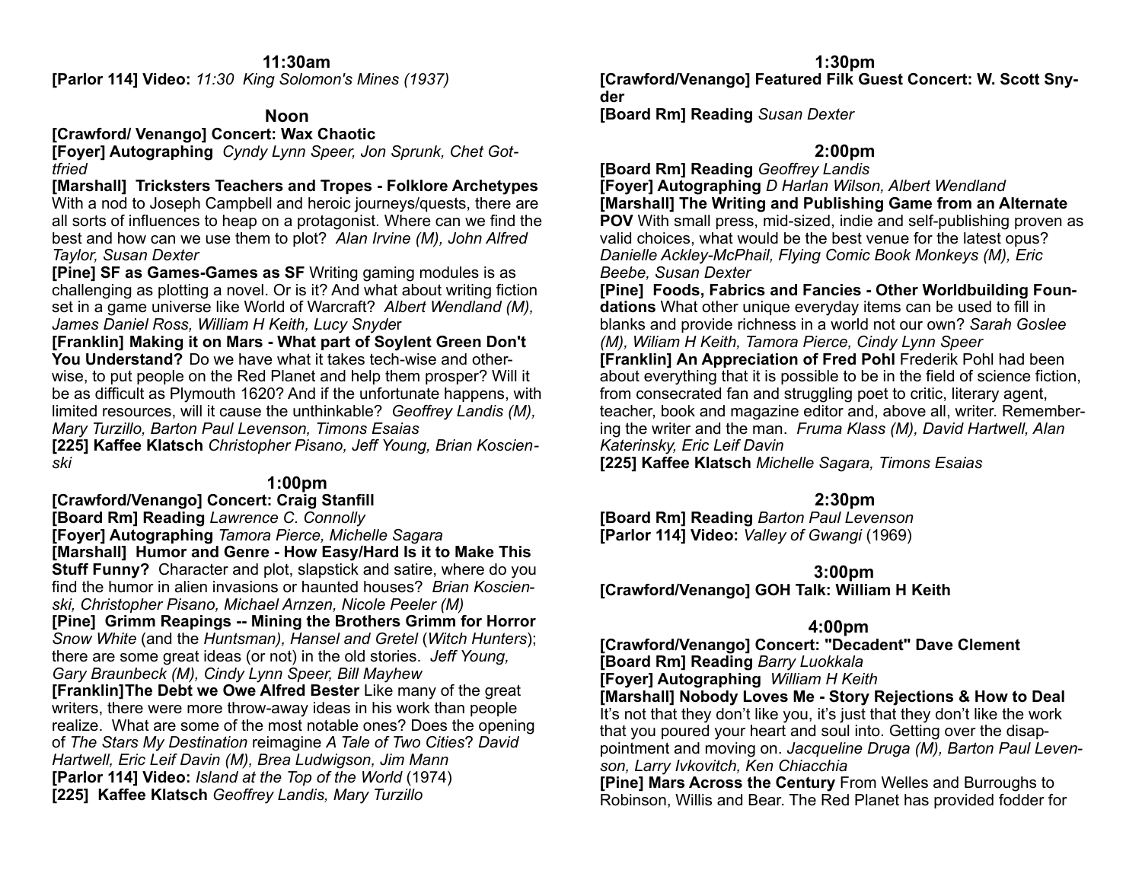### **11:30am**

**[Parlor 114] Video:** *11:30 King Solomon's Mines (1937)* 

### **Noon**

**[Crawford/ Venango] Concert: Wax Chaotic** 

**[Foyer] Autographing** *Cyndy Lynn Speer, Jon Sprunk, Chet Gottfried*

**[Marshall] Tricksters Teachers and Tropes - Folklore Archetypes**  With a nod to Joseph Campbell and heroic journeys/quests, there are all sorts of influences to heap on a protagonist. Where can we find the best and how can we use them to plot? *Alan Irvine (M), John Alfred Taylor, Susan Dexter* 

**[Pine] SF as Games-Games as SF** Writing gaming modules is as challenging as plotting a novel. Or is it? And what about writing fiction set in a game universe like World of Warcraft? *Albert Wendland (M), James Daniel Ross, William H Keith, Lucy Snyde*r

**[Franklin] Making it on Mars - What part of Soylent Green Don't You Understand?** Do we have what it takes tech-wise and otherwise, to put people on the Red Planet and help them prosper? Will it be as difficult as Plymouth 1620? And if the unfortunate happens, with limited resources, will it cause the unthinkable? *Geoffrey Landis (M), Mary Turzillo, Barton Paul Levenson, Timons Esaias* 

**[225] Kaffee Klatsch** *Christopher Pisano, Jeff Young, Brian Koscienski*

# **1:00pm**

**[Crawford/Venango] Concert: Craig Stanfill** 

**[Board Rm] Reading** *Lawrence C. Connolly*

**[Foyer] Autographing** *Tamora Pierce, Michelle Sagara*  **[Marshall] Humor and Genre - How Easy/Hard Is it to Make This** 

**Stuff Funny?** Character and plot, slapstick and satire, where do you find the humor in alien invasions or haunted houses? *Brian Koscienski, Christopher Pisano, Michael Arnzen, Nicole Peeler (M)*

**[Pine] Grimm Reapings -- Mining the Brothers Grimm for Horror**  *Snow White* (and the *Huntsman), Hansel and Gretel* (*Witch Hunters*); there are some great ideas (or not) in the old stories. *Jeff Young, Gary Braunbeck (M), Cindy Lynn Speer, Bill Mayhew*

**[Franklin] The Debt we Owe Alfred Bester** Like many of the great writers, there were more throw-away ideas in his work than people realize. What are some of the most notable ones? Does the opening of *The Stars My Destination* reimagine *A Tale of Two Cities*? *David Hartwell, Eric Leif Davin (M), Brea Ludwigson, Jim Mann*  **[Parlor 114] Video:** *Island at the Top of the World* (1974) **[225] Kaffee Klatsch** *Geoffrey Landis, Mary Turzillo* 

**1:30pm** 

**[Crawford/Venango] Featured Filk Guest Concert: W. Scott Snyder** 

**[Board Rm] Reading** *Susan Dexter* 

# **2:00pm**

**[Board Rm] Reading** *Geoffrey Landis*

**[Foyer] Autographing** *D Harlan Wilson, Albert Wendland* **[Marshall] The Writing and Publishing Game from an Alternate POV** With small press, mid-sized, indie and self-publishing proven as valid choices, what would be the best venue for the latest opus? *Danielle Ackley-McPhail, Flying Comic Book Monkeys (M), Eric Beebe, Susan Dexter* 

**[Pine] Foods, Fabrics and Fancies - Other Worldbuilding Foundations** What other unique everyday items can be used to fill in blanks and provide richness in a world not our own? *Sarah Goslee (M), Wiliam H Keith, Tamora Pierce, Cindy Lynn Speer*  **[Franklin] An Appreciation of Fred Pohl** Frederik Pohl had been about everything that it is possible to be in the field of science fiction, from consecrated fan and struggling poet to critic, literary agent, teacher, book and magazine editor and, above all, writer. Remembering the writer and the man. *Fruma Klass (M), David Hartwell, Alan Katerinsky, Eric Leif Davin*

**[225] Kaffee Klatsch** *Michelle Sagara, Timons Esaias* 

# **2:30pm**

**[Board Rm] Reading** *Barton Paul Levenson*  **[Parlor 114] Video:** *Valley of Gwangi* (1969)

# **3:00pm**

**[Crawford/Venango] GOH Talk: William H Keith** 

# **4:00pm**

**[Crawford/Venango] Concert: "Decadent" Dave Clement [Board Rm] Reading** *Barry Luokkala* 

**[Foyer] Autographing** *William H Keith*

**[Marshall] Nobody Loves Me - Story Rejections & How to Deal**  It's not that they don't like you, it's just that they don't like the work that you poured your heart and soul into. Getting over the disappointment and moving on. *Jacqueline Druga (M), Barton Paul Levenson, Larry Ivkovitch, Ken Chiacchia* 

**[Pine] Mars Across the Century** From Welles and Burroughs to Robinson, Willis and Bear. The Red Planet has provided fodder for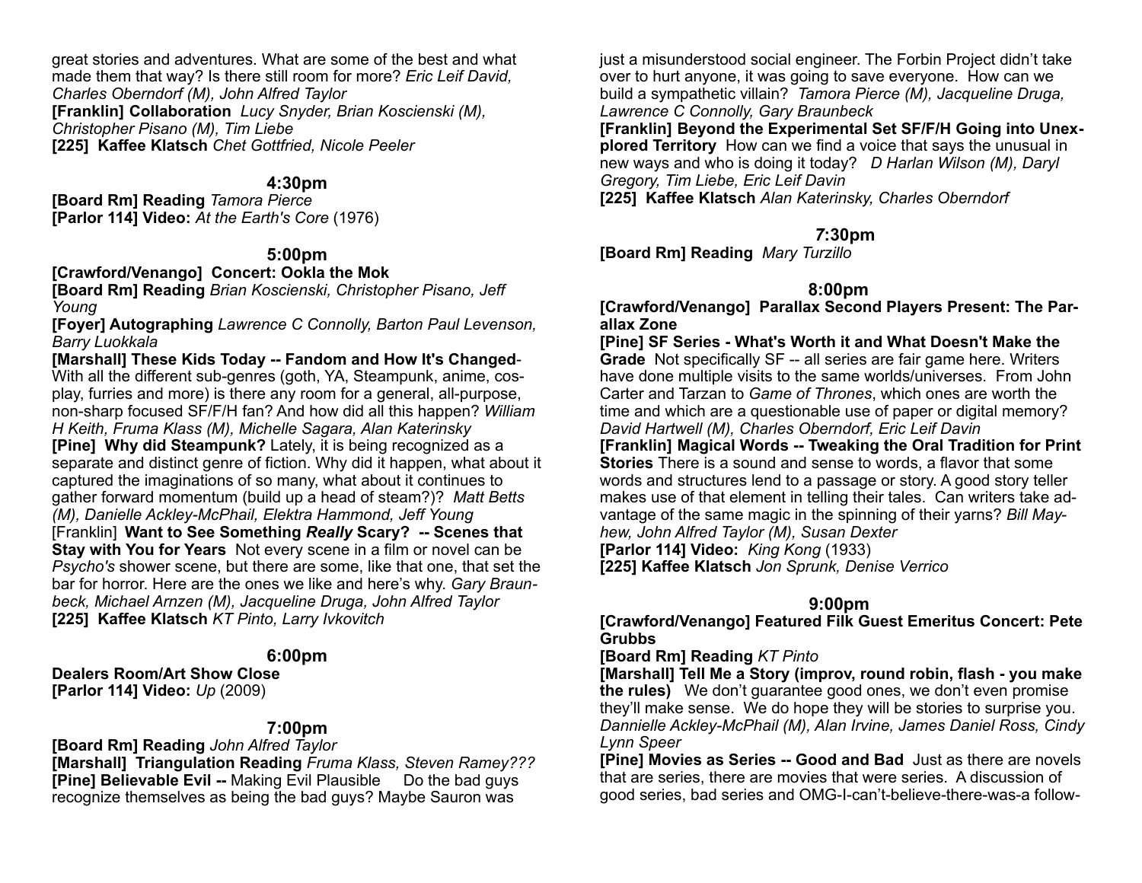great stories and adventures. What are some of the best and what made them that way? Is there still room for more? *Eric Leif David, Charles Oberndorf (M), John Alfred Taylor*  **[Franklin] Collaboration** *Lucy Snyder, Brian Koscienski (M), Christopher Pisano (M), Tim Liebe*  **[225] Kaffee Klatsch** *Chet Gottfried, Nicole Peeler* 

### **4:30pm**

**[Board Rm] Reading** *Tamora Pierce*  **[Parlor 114] Video:** *At the Earth's Core* (1976)

## **5:00pm**

**[Crawford/Venango] Concert: Ookla the Mok** 

**[Board Rm] Reading** *Brian Koscienski, Christopher Pisano, Jeff Young* 

**[Foyer] Autographing** *Lawrence C Connolly, Barton Paul Levenson, Barry Luokkala*

**[Marshall] These Kids Today -- Fandom and How It's Changed**-With all the different sub-genres (goth, YA, Steampunk, anime, cosplay, furries and more) is there any room for a general, all-purpose, non-sharp focused SF/F/H fan? And how did all this happen? *William H Keith, Fruma Klass (M), Michelle Sagara, Alan Katerinsky*  **[Pine] Why did Steampunk?** Lately, it is being recognized as a separate and distinct genre of fiction. Why did it happen, what about it captured the imaginations of so many, what about it continues to gather forward momentum (build up a head of steam?)? *Matt Betts (M), Danielle Ackley-McPhail, Elektra Hammond, Jeff Young*  [Franklin] **Want to See Something** *Really* **Scary? -- Scenes that Stay with You for Years** Not every scene in a film or novel can be *Psycho's* shower scene, but there are some, like that one, that set the bar for horror. Here are the ones we like and here's why. *Gary Braunbeck, Michael Arnzen (M), Jacqueline Druga, John Alfred Taylor* **[225] Kaffee Klatsch** *KT Pinto, Larry Ivkovitch*

### **6:00pm**

**Dealers Room/Art Show Close [Parlor 114] Video:** *Up* (2009)

### **7:00pm**

**[Board Rm] Reading** *John Alfred Taylor* **[Marshall] Triangulation Reading** *Fruma Klass, Steven Ramey???* **[Pine] Believable Evil -- Making Evil Plausible Do the bad guys** recognize themselves as being the bad guys? Maybe Sauron was

just a misunderstood social engineer. The Forbin Project didn't take over to hurt anyone, it was going to save everyone. How can we build a sympathetic villain? *Tamora Pierce (M), Jacqueline Druga, Lawrence C Connolly, Gary Braunbeck*

**[Franklin] Beyond the Experimental Set SF/F/H Going into Unexplored Territory** How can we find a voice that says the unusual in new ways and who is doing it today? *D Harlan Wilson (M), Daryl Gregory, Tim Liebe, Eric Leif Davin* 

**[225] Kaffee Klatsch** *Alan Katerinsky, Charles Oberndorf* 

# *7***:30pm**

**[Board Rm] Reading** *Mary Turzillo* 

# **8:00pm**

**[Crawford/Venango] Parallax Second Players Present: The Parallax Zone** 

**[Pine] SF Series - What's Worth it and What Doesn't Make the Grade** Not specifically SF -- all series are fair game here. Writers have done multiple visits to the same worlds/universes. From John Carter and Tarzan to *Game of Thrones*, which ones are worth the time and which are a questionable use of paper or digital memory? *David Hartwell (M), Charles Oberndorf, Eric Leif Davin* 

**[Franklin] Magical Words -- Tweaking the Oral Tradition for Print Stories** There is a sound and sense to words, a flavor that some words and structures lend to a passage or story. A good story teller makes use of that element in telling their tales. Can writers take advantage of the same magic in the spinning of their yarns? *Bill May-*

*hew, John Alfred Taylor (M), Susan Dexter* 

**[Parlor 114] Video:** *King Kong* (1933)

**[225] Kaffee Klatsch** *Jon Sprunk, Denise Verrico* 

# **9:00pm**

**[Crawford/Venango] Featured Filk Guest Emeritus Concert: Pete Grubbs** 

**[Board Rm] Reading** *KT Pinto*

**[Marshall] Tell Me a Story (improv, round robin, flash - you make the rules)** We don't guarantee good ones, we don't even promise they'll make sense. We do hope they will be stories to surprise you. *Dannielle Ackley-McPhail (M), Alan Irvine, James Daniel Ross, Cindy Lynn Speer*

**[Pine] Movies as Series -- Good and Bad** Just as there are novels that are series, there are movies that were series. A discussion of good series, bad series and OMG-I-can't-believe-there-was-a follow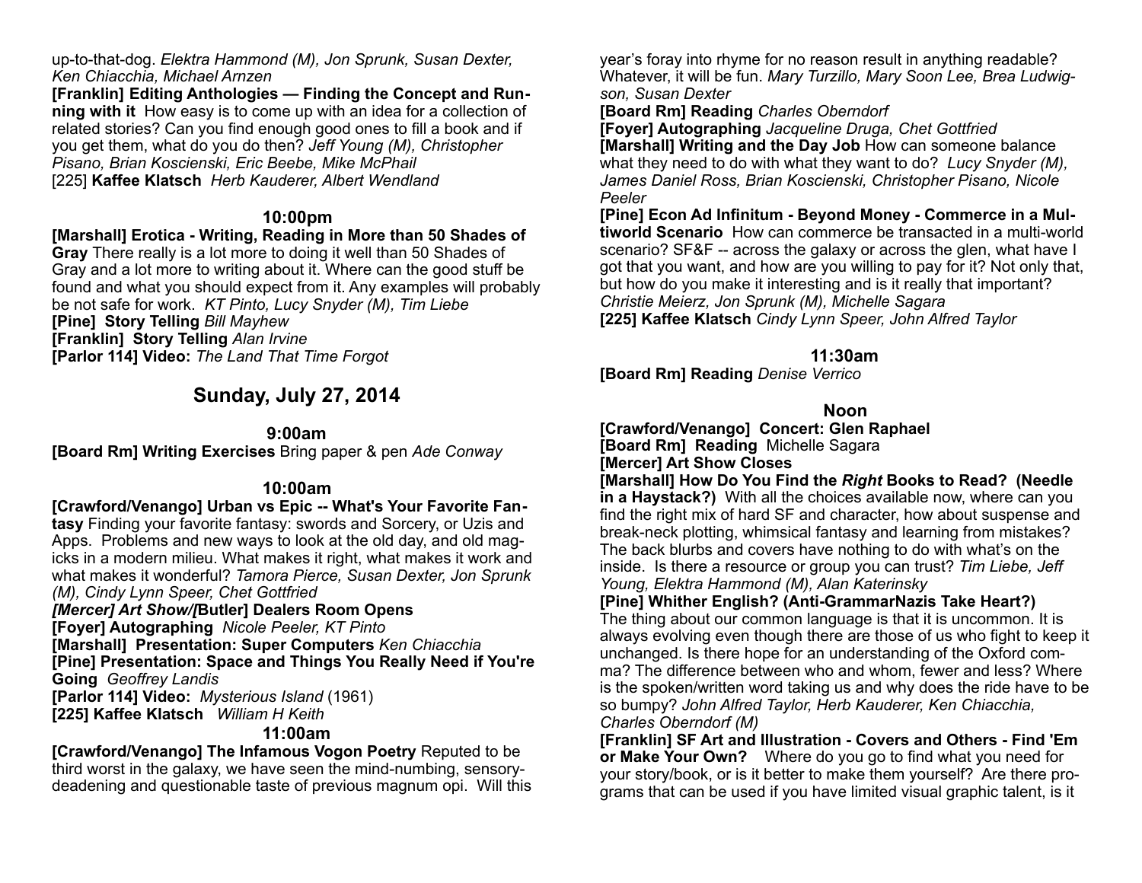up-to-that-dog. *Elektra Hammond (M), Jon Sprunk, Susan Dexter, Ken Chiacchia, Michael Arnzen* 

**[Franklin] Editing Anthologies — Finding the Concept and Running with it** How easy is to come up with an idea for a collection of related stories? Can you find enough good ones to fill a book and if you get them, what do you do then? *Jeff Young (M), Christopher Pisano, Brian Koscienski, Eric Beebe, Mike McPhail*  [225] **Kaffee Klatsch** *Herb Kauderer, Albert Wendland* 

### **10:00pm**

**[Marshall] Erotica - Writing, Reading in More than 50 Shades of** 

**Gray** There really is a lot more to doing it well than 50 Shades of Gray and a lot more to writing about it. Where can the good stuff be found and what you should expect from it. Any examples will probably be not safe for work. *KT Pinto, Lucy Snyder (M), Tim Liebe*  **[Pine] Story Telling** *Bill Mayhew* 

**[Franklin] Story Telling** *Alan Irvine*

**[Parlor 114] Video:** *The Land That Time Forgot* 

# **Sunday, July 27, 2014**

### **9:00am**

**[Board Rm] Writing Exercises** Bring paper & pen *Ade Conway* 

# **10:00am**

**[Crawford/Venango] Urban vs Epic -- What's Your Favorite Fantasy** Finding your favorite fantasy: swords and Sorcery, or Uzis and Apps. Problems and new ways to look at the old day, and old magicks in a modern milieu. What makes it right, what makes it work and what makes it wonderful? *Tamora Pierce, Susan Dexter, Jon Sprunk (M), Cindy Lynn Speer, Chet Gottfried* 

*[Mercer] Art Show/[***Butler] Dealers Room Opens**

**[Foyer] Autographing** *Nicole Peeler, KT Pinto*

**[Marshall] Presentation: Super Computers** *Ken Chiacchia* 

**[Pine] Presentation: Space and Things You Really Need if You're Going** *Geoffrey Landis* 

**[Parlor 114] Video:** *Mysterious Island* (1961) **[225] Kaffee Klatsch** *William H Keith*

# **11:00am**

**[Crawford/Venango] The Infamous Vogon Poetry** Reputed to be third worst in the galaxy, we have seen the mind-numbing, sensorydeadening and questionable taste of previous magnum opi. Will this year's foray into rhyme for no reason result in anything readable? Whatever, it will be fun. *Mary Turzillo, Mary Soon Lee, Brea Ludwigson, Susan Dexter* 

**[Board Rm] Reading** *Charles Oberndorf* 

**[Foyer] Autographing** *Jacqueline Druga, Chet Gottfried* **[Marshall] Writing and the Day Job** How can someone balance what they need to do with what they want to do? *Lucy Snyder (M), James Daniel Ross, Brian Koscienski, Christopher Pisano, Nicole Peeler* 

**[Pine] Econ Ad Infinitum - Beyond Money - Commerce in a Multiworld Scenario** How can commerce be transacted in a multi-world scenario? SF&F -- across the galaxy or across the glen, what have I got that you want, and how are you willing to pay for it? Not only that, but how do you make it interesting and is it really that important? *Christie Meierz, Jon Sprunk (M), Michelle Sagara* **[225] Kaffee Klatsch** *Cindy Lynn Speer, John Alfred Taylor*

# **11:30am**

**[Board Rm] Reading** *Denise Verrico* 

# **Noon**

**[Crawford/Venango] Concert: Glen Raphael [Board Rm] Reading** Michelle Sagara

**[Mercer] Art Show Closes** 

**[Marshall] How Do You Find the** *Right* **Books to Read? (Needle in a Haystack?)** With all the choices available now, where can you find the right mix of hard SF and character, how about suspense and break-neck plotting, whimsical fantasy and learning from mistakes? The back blurbs and covers have nothing to do with what's on the inside. Is there a resource or group you can trust? *Tim Liebe, Jeff Young, Elektra Hammond (M), Alan Katerinsky*

**[Pine] Whither English? (Anti-GrammarNazis Take Heart?)**

The thing about our common language is that it is uncommon. It is always evolving even though there are those of us who fight to keep it unchanged. Is there hope for an understanding of the Oxford comma? The difference between who and whom, fewer and less? Where is the spoken/written word taking us and why does the ride have to be so bumpy? *John Alfred Taylor, Herb Kauderer, Ken Chiacchia, Charles Oberndorf (M)* 

**[Franklin] SF Art and Illustration - Covers and Others - Find 'Em or Make Your Own?** Where do you go to find what you need for your story/book, or is it better to make them yourself? Are there programs that can be used if you have limited visual graphic talent, is it